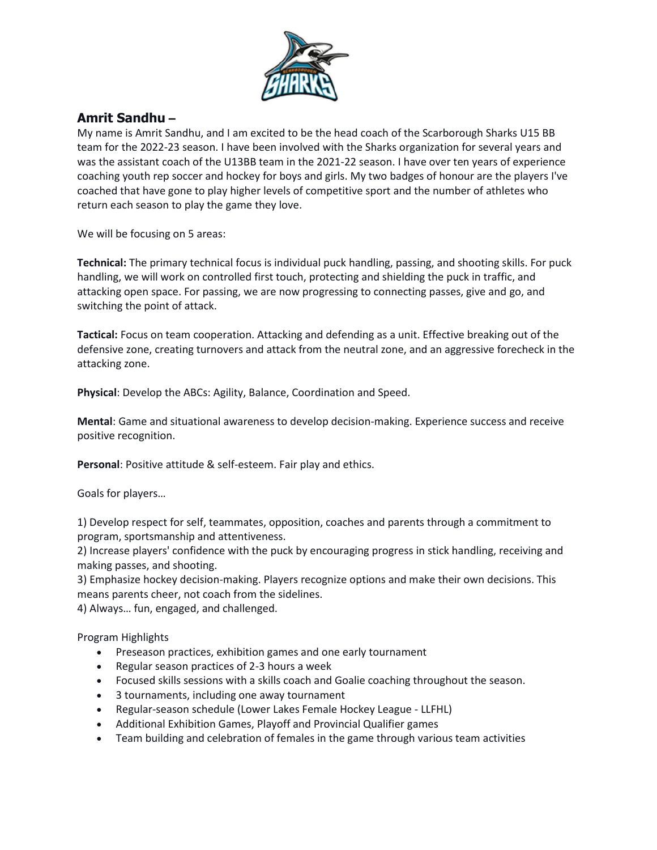

## **Amrit Sandhu –**

My name is Amrit Sandhu, and I am excited to be the head coach of the Scarborough Sharks U15 BB team for the 2022-23 season. I have been involved with the Sharks organization for several years and was the assistant coach of the U13BB team in the 2021-22 season. I have over ten years of experience coaching youth rep soccer and hockey for boys and girls. My two badges of honour are the players I've coached that have gone to play higher levels of competitive sport and the number of athletes who return each season to play the game they love.

We will be focusing on 5 areas:

**Technical:** The primary technical focus is individual puck handling, passing, and shooting skills. For puck handling, we will work on controlled first touch, protecting and shielding the puck in traffic, and attacking open space. For passing, we are now progressing to connecting passes, give and go, and switching the point of attack.

**Tactical:** Focus on team cooperation. Attacking and defending as a unit. Effective breaking out of the defensive zone, creating turnovers and attack from the neutral zone, and an aggressive forecheck in the attacking zone.

**Physical**: Develop the ABCs: Agility, Balance, Coordination and Speed.

**Mental**: Game and situational awareness to develop decision-making. Experience success and receive positive recognition.

**Personal**: Positive attitude & self-esteem. Fair play and ethics.

Goals for players…

1) Develop respect for self, teammates, opposition, coaches and parents through a commitment to program, sportsmanship and attentiveness.

2) Increase players' confidence with the puck by encouraging progress in stick handling, receiving and making passes, and shooting.

3) Emphasize hockey decision-making. Players recognize options and make their own decisions. This means parents cheer, not coach from the sidelines.

4) Always… fun, engaged, and challenged.

Program Highlights

- Preseason practices, exhibition games and one early tournament
- Regular season practices of 2-3 hours a week
- Focused skills sessions with a skills coach and Goalie coaching throughout the season.
- 3 tournaments, including one away tournament
- Regular-season schedule (Lower Lakes Female Hockey League LLFHL)
- Additional Exhibition Games, Playoff and Provincial Qualifier games
- Team building and celebration of females in the game through various team activities